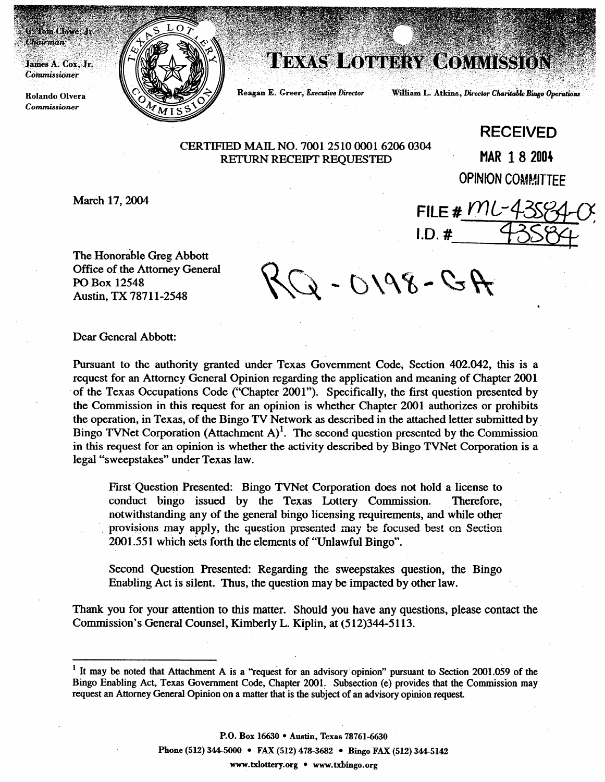James A. Cox, Jr. Commissioner

**Chairman** 

Tom Clowe; Jr.

**Roland0 Olvera**   $Commissioner$ 



## **TEXAS LOTTERY COMMISSION**

**Reagan E. Greer, Executive Director** 

William L. Atkins, Director Charitable Bingo Operations

FILE #  $MC-43$ 

 $I.D.$ #

CERTIFIED MAIL NO. 7001 2510 0001 6206 0304 RETURN RECEIPT REQUESTED MAR 1 8 2004

**RECEIVED OPINION COMMITTEE** 

March 17, 2004

The Honorable Greg Abbott Office of the Attorney General PO Box 12548 Austin, TX 78711-2548

 $AC - 0.198 - C + K$ 

Dear General Abbott:

Pursuant to the authority granted under Texas Government Code, Section 402.042, this is a request for an Attorney General Opinion regarding the application and meaning of Chapter 2001 of the Texas Occupations Code ("Chapter 2001"). Specifically, the first question presented by the Commission in this request for an opinion is whether Chapter 2001. authorizes or prohibits the operation, in Texas, of the Bingo TV Network as described in the attached letter submitted by Bingo TVNet Corporation (Attachment A)<sup>1</sup>. The second question presented by the Commission in this request for an opinion is whether the activity described by Bingo TVNet Corporation is a legal "sweepstakes" under Texas law.

First Question Presented: Bingo TVNet Corporation does not hold a license to conduct bingo issued by the Texas Lottery Commission. Therefore, notwithstanding any of the general bingo licensing requirements, and while other . provisions may apply, the question presented may be focused beat cn Section 2001.551 which sets forth the elements of "Unlawful Bingo".

Second Question Presented: Regarding the sweepstakes question, the Bingo Enabling Act is silent. Thus, the question may be impacted by other law.

Thank you for your attention to this matter. Should you have any questions, please contact the Commission's General Counsel, Kimberly L. Kiplin, at (512)344-5113.

**P.O. Box 16630 • Austin, Texas 78761-6630 Phone (512) 344-5000 • FAX (512) 478-3682 • Bingo FAX (512) 344-5142 www.txlottery.org** l **www.txbingo.org** 

<sup>&</sup>lt;sup>1</sup> It may be noted that Attachment A is a "request for an advisory opinion" pursuant to Section 2001.059 of the **Bingo Enabling Act, Texas Government Code, Chapter 2001, Subsection (e) provides that the Commission may request an Attorney General Opinion on a matter that is the subject of an advisory opinion request.**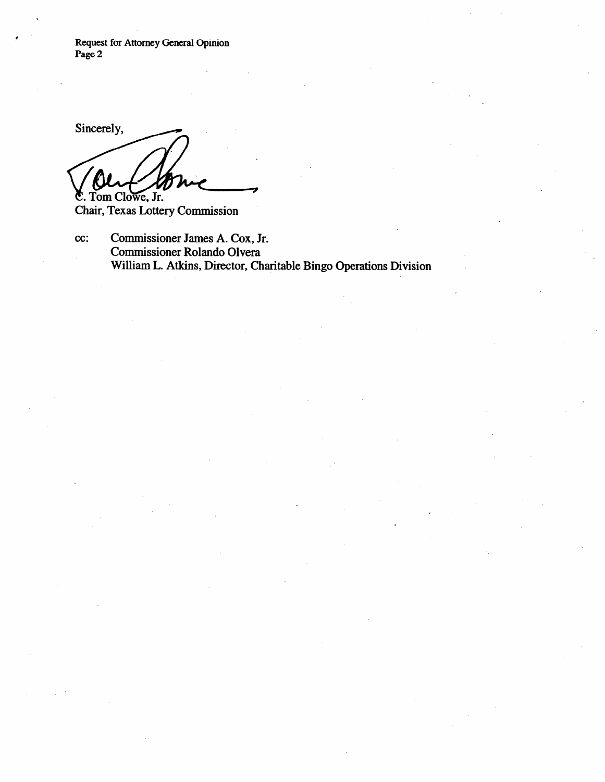**Request for Attorney General Opinion Page 2** 

Sincerely, C. Tom Clowe, Jr.

Chair, Texas Lottery Commission

cc: Commissioner James A. Cox, Jr. Commissioner Roland0 Olvera William L. Atkins, Director, Charitable Bingo Operations Division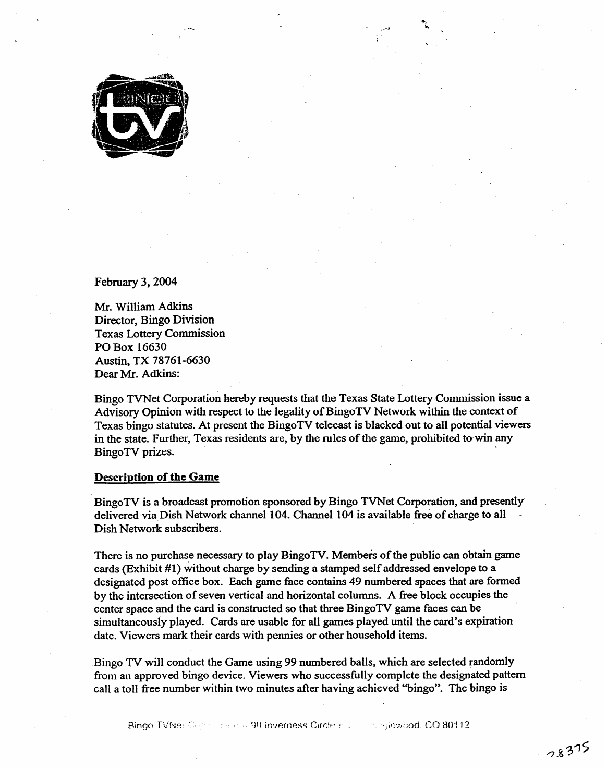

February 3, 2004

MI. William Adkins<br>Dinastan Dinas Diri Director, Bingo Division Texas Lottery Commission Austin, TX 78761-6630 Austin, TA 78761-6636<br>Deep Mr. Adkins: Dear Mr. Adams.

Bingo TVNet Corporation hereby requests that the Texas State Lottery Commission issue a Advisory Opinion with respect to the legality of BingoTV Network within the context of Texas bingo statutes. At present the BingoTV telecast is blacked out to all potential viewers Texas bingo statutes. The present and BingoTV terrories is blacked out to all potential viewers. in the state. Further, Texas residents are, by the rules of the game, prohibited to win any BingoTV prizes. **Example 2018 Example 2018 Example 2018 Example 2018 Example 2018** 

## **Description of the Game**

Bingo TV is a broadcast promotion sponsored by Bingo TVNet Corporation, and presently delivered via Dish Network channel 104. Channel 104 is available free of charge to all Dish Network subscribers.

There is no purchase necessary to play BingoTV. Members of the public can obtain game cards (Exhibit #1) without charge by sending a stamped self addressed envelope to a designated post office box. Each game face contains 49 numbered spaces that are formed by the intersection of seven vertical and horizontal columns. A free block occupies the center space and the card is constructed so that three BingoTV game faces can be simultaneously played. Cards are usable for all games played until the card's expiration date. Viewers mark their cards with pennies or other household items.

Bingo TV will conduct the Game using 99 numbered balls, which are selected randomly from an approved bingo device. Viewers who successfully complete the designated pattern call a toll free number within two minutes after having achieved "bingo". The bingo is

Bingo TVNes Commission - 90 Inverness Circle Education  $\sim$  -Glowdod, CO 80112.

call a toll free number within two minutes after having achieved "bingo". The bingo is

date. Viewers mark their cards with pennies or other household items.